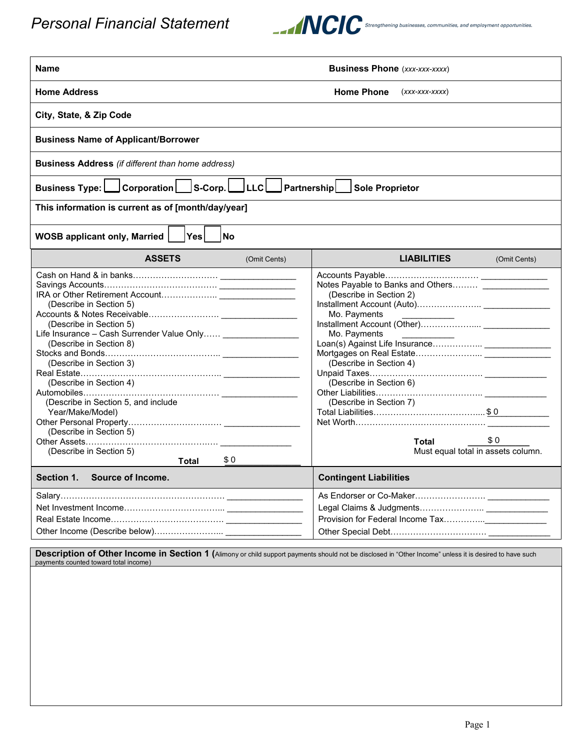

| Name                                                                                                                                                                                                                                                              | <b>Business Phone</b> (xxx-xxx-xxxx)                          |                                                                                                                                                                                                                        |                                           |  |  |  |  |  |
|-------------------------------------------------------------------------------------------------------------------------------------------------------------------------------------------------------------------------------------------------------------------|---------------------------------------------------------------|------------------------------------------------------------------------------------------------------------------------------------------------------------------------------------------------------------------------|-------------------------------------------|--|--|--|--|--|
|                                                                                                                                                                                                                                                                   |                                                               |                                                                                                                                                                                                                        |                                           |  |  |  |  |  |
|                                                                                                                                                                                                                                                                   | <b>Home Address</b><br><b>Home Phone</b><br>$(xxx$ -xxx-xxxx) |                                                                                                                                                                                                                        |                                           |  |  |  |  |  |
| City, State, & Zip Code                                                                                                                                                                                                                                           |                                                               |                                                                                                                                                                                                                        |                                           |  |  |  |  |  |
| <b>Business Name of Applicant/Borrower</b>                                                                                                                                                                                                                        |                                                               |                                                                                                                                                                                                                        |                                           |  |  |  |  |  |
| <b>Business Address</b> (if different than home address)                                                                                                                                                                                                          |                                                               |                                                                                                                                                                                                                        |                                           |  |  |  |  |  |
| Corporation   S-Corp.<br>PartnershipL<br><b>Sole Proprietor</b><br><b>Business Type:</b>                                                                                                                                                                          |                                                               |                                                                                                                                                                                                                        |                                           |  |  |  |  |  |
| This information is current as of [month/day/year]                                                                                                                                                                                                                |                                                               |                                                                                                                                                                                                                        |                                           |  |  |  |  |  |
| <b>Yes</b><br><b>WOSB applicant only, Married</b><br><b>No</b>                                                                                                                                                                                                    |                                                               |                                                                                                                                                                                                                        |                                           |  |  |  |  |  |
| <b>ASSETS</b>                                                                                                                                                                                                                                                     | (Omit Cents)                                                  | <b>LIABILITIES</b>                                                                                                                                                                                                     | (Omit Cents)                              |  |  |  |  |  |
| (Describe in Section 5)<br>(Describe in Section 5)<br>Life Insurance - Cash Surrender Value Only ____________________<br>(Describe in Section 8)<br>(Describe in Section 3)<br>(Describe in Section 4)<br>(Describe in Section 5, and include<br>Year/Make/Model) |                                                               | Notes Payable to Banks and Others<br>(Describe in Section 2)<br>Mo. Payments<br>Mo. Payments<br>(Describe in Section 4)<br>(Describe in Section 6)<br>(Describe in Section 7)<br>Total Liabilities……………………………………… \$ 0 |                                           |  |  |  |  |  |
| (Describe in Section 5)<br>(Describe in Section 5)<br>Total                                                                                                                                                                                                       | \$0                                                           | Total                                                                                                                                                                                                                  | \$0<br>Must equal total in assets column. |  |  |  |  |  |
| Section 1.<br>Source of Income.                                                                                                                                                                                                                                   |                                                               | <b>Contingent Liabilities</b>                                                                                                                                                                                          |                                           |  |  |  |  |  |
|                                                                                                                                                                                                                                                                   |                                                               |                                                                                                                                                                                                                        |                                           |  |  |  |  |  |

**Description of Other Income in Section 1 (**Alimony or child support payments should not be disclosed in "Other Income" unless it is desired to have such<br>payments counted toward total income)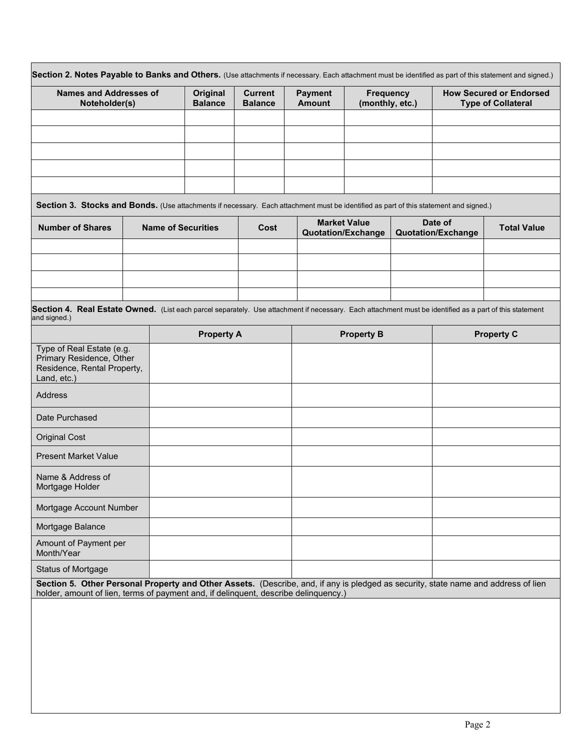| <b>Names and Addresses of</b><br>Noteholder(s)                                                                                                                                                                            |  | <b>Original</b><br><b>Balance</b> |                   | <b>Current</b><br><b>Balance</b> | <b>Payment</b><br><b>Amount</b> | <b>Frequency</b><br>(monthly, etc.)              |  | <b>How Secured or Endorsed</b><br><b>Type of Collateral</b> |                    |
|---------------------------------------------------------------------------------------------------------------------------------------------------------------------------------------------------------------------------|--|-----------------------------------|-------------------|----------------------------------|---------------------------------|--------------------------------------------------|--|-------------------------------------------------------------|--------------------|
|                                                                                                                                                                                                                           |  |                                   |                   |                                  |                                 |                                                  |  |                                                             |                    |
|                                                                                                                                                                                                                           |  |                                   |                   |                                  |                                 |                                                  |  |                                                             |                    |
|                                                                                                                                                                                                                           |  |                                   |                   |                                  |                                 |                                                  |  |                                                             |                    |
| Section 3. Stocks and Bonds. (Use attachments if necessary. Each attachment must be identified as part of this statement and signed.)                                                                                     |  |                                   |                   |                                  |                                 |                                                  |  |                                                             |                    |
| <b>Number of Shares</b>                                                                                                                                                                                                   |  | <b>Name of Securities</b>         |                   | Cost                             |                                 | <b>Market Value</b><br><b>Quotation/Exchange</b> |  | Date of<br><b>Quotation/Exchange</b>                        | <b>Total Value</b> |
|                                                                                                                                                                                                                           |  |                                   |                   |                                  |                                 |                                                  |  |                                                             |                    |
|                                                                                                                                                                                                                           |  |                                   |                   |                                  |                                 |                                                  |  |                                                             |                    |
| Section 4. Real Estate Owned. (List each parcel separately. Use attachment if necessary. Each attachment must be identified as a part of this statement                                                                   |  |                                   |                   |                                  |                                 |                                                  |  |                                                             |                    |
| and signed.)                                                                                                                                                                                                              |  |                                   |                   |                                  |                                 |                                                  |  |                                                             |                    |
| Type of Real Estate (e.g.<br>Primary Residence, Other<br>Residence, Rental Property,<br>Land, etc.)                                                                                                                       |  |                                   | <b>Property A</b> |                                  |                                 | <b>Property B</b>                                |  |                                                             | <b>Property C</b>  |
| Address                                                                                                                                                                                                                   |  |                                   |                   |                                  |                                 |                                                  |  |                                                             |                    |
| Date Purchased                                                                                                                                                                                                            |  |                                   |                   |                                  |                                 |                                                  |  |                                                             |                    |
| <b>Original Cost</b>                                                                                                                                                                                                      |  |                                   |                   |                                  |                                 |                                                  |  |                                                             |                    |
| <b>Present Market Value</b>                                                                                                                                                                                               |  |                                   |                   |                                  |                                 |                                                  |  |                                                             |                    |
| Name & Address of<br>Mortgage Holder                                                                                                                                                                                      |  |                                   |                   |                                  |                                 |                                                  |  |                                                             |                    |
| Mortgage Account Number                                                                                                                                                                                                   |  |                                   |                   |                                  |                                 |                                                  |  |                                                             |                    |
| Mortgage Balance                                                                                                                                                                                                          |  |                                   |                   |                                  |                                 |                                                  |  |                                                             |                    |
| Amount of Payment per<br>Month/Year                                                                                                                                                                                       |  |                                   |                   |                                  |                                 |                                                  |  |                                                             |                    |
| <b>Status of Mortgage</b>                                                                                                                                                                                                 |  |                                   |                   |                                  |                                 |                                                  |  |                                                             |                    |
| Section 5. Other Personal Property and Other Assets. (Describe, and, if any is pledged as security, state name and address of lien<br>holder, amount of lien, terms of payment and, if delinquent, describe delinquency.) |  |                                   |                   |                                  |                                 |                                                  |  |                                                             |                    |
|                                                                                                                                                                                                                           |  |                                   |                   |                                  |                                 |                                                  |  |                                                             |                    |
|                                                                                                                                                                                                                           |  |                                   |                   |                                  |                                 |                                                  |  |                                                             |                    |
|                                                                                                                                                                                                                           |  |                                   |                   |                                  |                                 |                                                  |  |                                                             |                    |